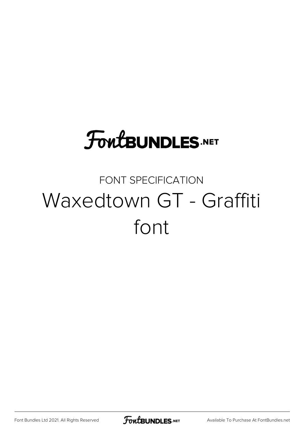## **FoutBUNDLES.NET**

## FONT SPECIFICATION Waxedtown GT - Graffiti font

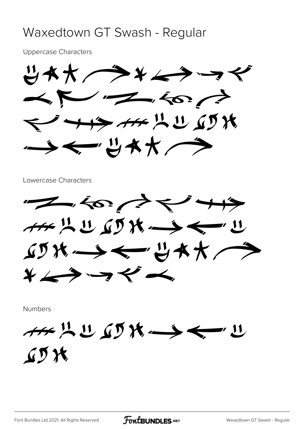## Waxedtown GT Swash - Regular

Uppercase Characters



Lowercase Characters



Numbers

 $\overbrace{ }^{\mathcal{A} \mathcal{A} \mathcal{A}} \overbrace{\downarrow}^{\mathcal{B}} \overbrace{\downarrow}^{\mathcal{B}} \overbrace{\downarrow}^{\mathcal{B}} \overbrace{\downarrow}^{\mathcal{B}} \overbrace{\downarrow}^{\mathcal{B}} \overbrace{\downarrow}^{\mathcal{B}} \overbrace{\downarrow}^{\mathcal{B}} \overbrace{\downarrow}^{\mathcal{B}}$  $69$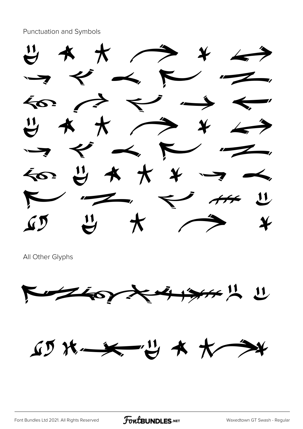Punctuation and Symbols



All Other Glyphs



FontBUNDLES.NET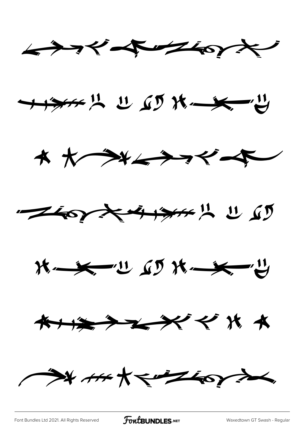











 $\rightarrow$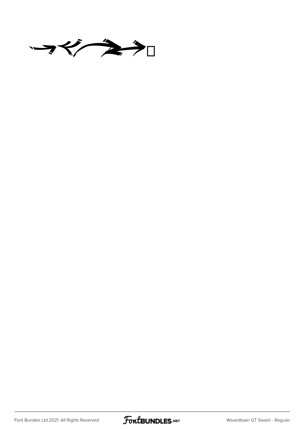

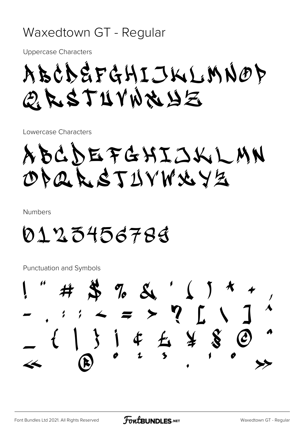## Waxedtown GT - Regular

**Uppercase Characters** 

ABCDEFGHIJKLIMNOD OKSTUYNKUS

Lowercase Characters

ABCDEFGHIJKLMN OPQRSTIVWXYZ

**Numbers** 

0123456788

**Punctuation and Symbols** 

 $\%$   $\&$  $i \leq z > 2$ <br>  $j \neq f$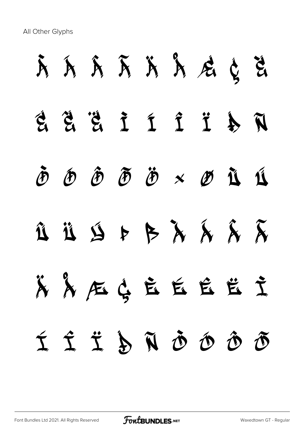All Other Glyphs

À Á Â Ã Ä Å Æ Ç È É Ê Ë Ì Í Î Ï Ð Ñ  $\tilde{\mathcal{D}}$   $\tilde{\mathcal{D}}$   $\tilde{\mathcal{D}}$   $\tilde{\mathcal{D}}$   $\tilde{\mathcal{D}}$   $\times$   $\tilde{\mathcal{D}}$   $\tilde{\mathbf{U}}$   $\tilde{\mathbf{U}}$  $\hat{u} \; \ddot{u} \; \dot{\beta} \; \star \; \beta \; \ddot{\lambda} \; \dot{\lambda} \; \ddot{\lambda} \; \ddot{\lambda}$  $\lambda$   $\lambda$   $\beta$   $\zeta$   $\thickapprox$   $\thickapprox$   $\thickapprox$ í î ï ð ñ ò ó ô õ